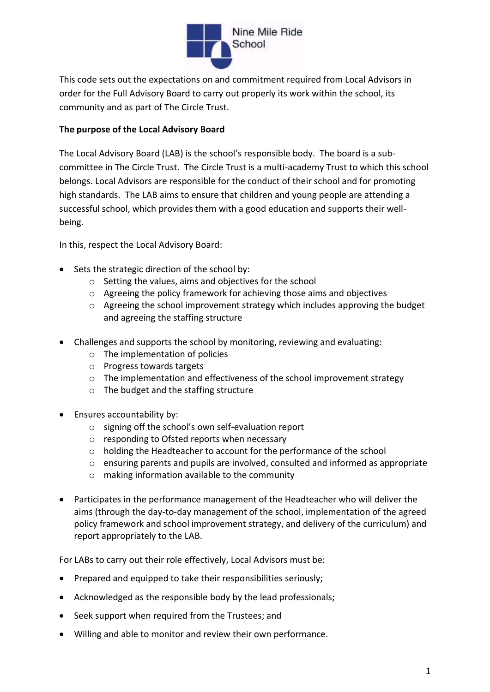

This code sets out the expectations on and commitment required from Local Advisors in order for the Full Advisory Board to carry out properly its work within the school, its community and as part of The Circle Trust.

# **The purpose of the Local Advisory Board**

The Local Advisory Board (LAB) is the school's responsible body. The board is a subcommittee in The Circle Trust. The Circle Trust is a multi-academy Trust to which this school belongs. Local Advisors are responsible for the conduct of their school and for promoting high standards. The LAB aims to ensure that children and young people are attending a successful school, which provides them with a good education and supports their wellbeing.

In this, respect the Local Advisory Board:

- Sets the strategic direction of the school by:
	- o Setting the values, aims and objectives for the school
	- o Agreeing the policy framework for achieving those aims and objectives
	- o Agreeing the school improvement strategy which includes approving the budget and agreeing the staffing structure
- Challenges and supports the school by monitoring, reviewing and evaluating:
	- o The implementation of policies
	- o Progress towards targets
	- $\circ$  The implementation and effectiveness of the school improvement strategy
	- o The budget and the staffing structure
- Ensures accountability by:
	- o signing off the school's own self-evaluation report
	- o responding to Ofsted reports when necessary
	- o holding the Headteacher to account for the performance of the school
	- $\circ$  ensuring parents and pupils are involved, consulted and informed as appropriate
	- o making information available to the community
- Participates in the performance management of the Headteacher who will deliver the aims (through the day-to-day management of the school, implementation of the agreed policy framework and school improvement strategy, and delivery of the curriculum) and report appropriately to the LAB.

For LABs to carry out their role effectively, Local Advisors must be:

- Prepared and equipped to take their responsibilities seriously;
- Acknowledged as the responsible body by the lead professionals;
- Seek support when required from the Trustees; and
- Willing and able to monitor and review their own performance.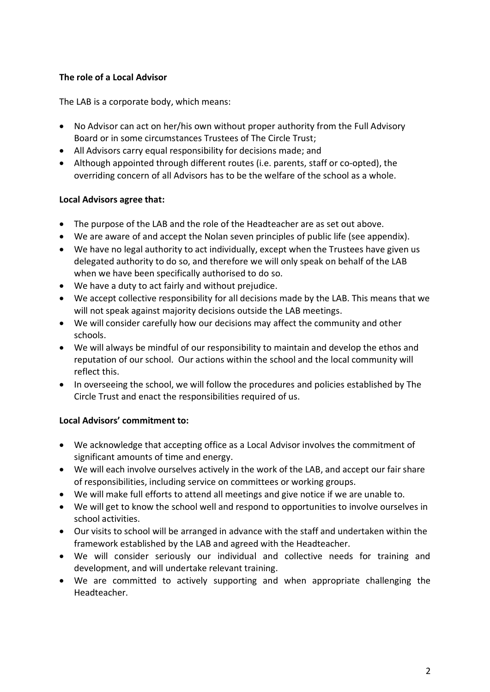# **The role of a Local Advisor**

The LAB is a corporate body, which means:

- No Advisor can act on her/his own without proper authority from the Full Advisory Board or in some circumstances Trustees of The Circle Trust;
- All Advisors carry equal responsibility for decisions made; and
- Although appointed through different routes (i.e. parents, staff or co-opted), the overriding concern of all Advisors has to be the welfare of the school as a whole.

# **Local Advisors agree that:**

- The purpose of the LAB and the role of the Headteacher are as set out above.
- We are aware of and accept the Nolan seven principles of public life (see appendix).
- We have no legal authority to act individually, except when the Trustees have given us delegated authority to do so, and therefore we will only speak on behalf of the LAB when we have been specifically authorised to do so.
- We have a duty to act fairly and without prejudice.
- We accept collective responsibility for all decisions made by the LAB. This means that we will not speak against majority decisions outside the LAB meetings.
- We will consider carefully how our decisions may affect the community and other schools.
- We will always be mindful of our responsibility to maintain and develop the ethos and reputation of our school. Our actions within the school and the local community will reflect this.
- In overseeing the school, we will follow the procedures and policies established by The Circle Trust and enact the responsibilities required of us.

# **Local Advisors' commitment to:**

- We acknowledge that accepting office as a Local Advisor involves the commitment of significant amounts of time and energy.
- We will each involve ourselves actively in the work of the LAB, and accept our fair share of responsibilities, including service on committees or working groups.
- We will make full efforts to attend all meetings and give notice if we are unable to.
- We will get to know the school well and respond to opportunities to involve ourselves in school activities.
- Our visits to school will be arranged in advance with the staff and undertaken within the framework established by the LAB and agreed with the Headteacher.
- We will consider seriously our individual and collective needs for training and development, and will undertake relevant training.
- We are committed to actively supporting and when appropriate challenging the Headteacher.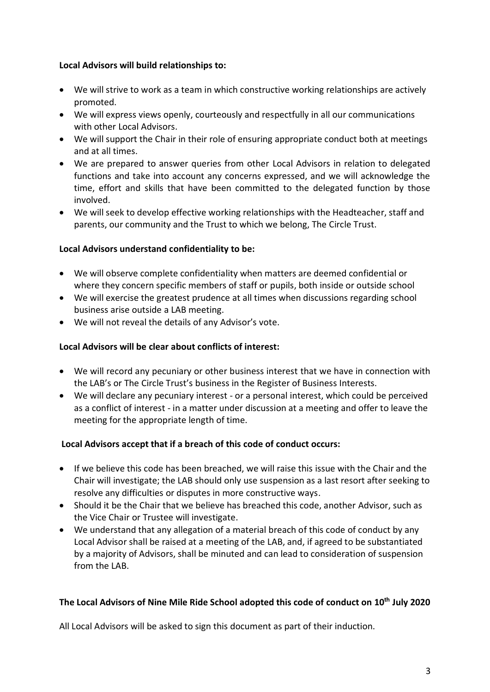# **Local Advisors will build relationships to:**

- We will strive to work as a team in which constructive working relationships are actively promoted.
- We will express views openly, courteously and respectfully in all our communications with other Local Advisors.
- We will support the Chair in their role of ensuring appropriate conduct both at meetings and at all times.
- We are prepared to answer queries from other Local Advisors in relation to delegated functions and take into account any concerns expressed, and we will acknowledge the time, effort and skills that have been committed to the delegated function by those involved.
- We will seek to develop effective working relationships with the Headteacher, staff and parents, our community and the Trust to which we belong, The Circle Trust.

# **Local Advisors understand confidentiality to be:**

- We will observe complete confidentiality when matters are deemed confidential or where they concern specific members of staff or pupils, both inside or outside school
- We will exercise the greatest prudence at all times when discussions regarding school business arise outside a LAB meeting.
- We will not reveal the details of any Advisor's vote.

# **Local Advisors will be clear about conflicts of interest:**

- We will record any pecuniary or other business interest that we have in connection with the LAB's or The Circle Trust's business in the Register of Business Interests.
- We will declare any pecuniary interest or a personal interest, which could be perceived as a conflict of interest - in a matter under discussion at a meeting and offer to leave the meeting for the appropriate length of time.

# **Local Advisors accept that if a breach of this code of conduct occurs:**

- If we believe this code has been breached, we will raise this issue with the Chair and the Chair will investigate; the LAB should only use suspension as a last resort after seeking to resolve any difficulties or disputes in more constructive ways.
- Should it be the Chair that we believe has breached this code, another Advisor, such as the Vice Chair or Trustee will investigate.
- We understand that any allegation of a material breach of this code of conduct by any Local Advisor shall be raised at a meeting of the LAB, and, if agreed to be substantiated by a majority of Advisors, shall be minuted and can lead to consideration of suspension from the LAB.

# **The Local Advisors of Nine Mile Ride School adopted this code of conduct on 10th July 2020**

All Local Advisors will be asked to sign this document as part of their induction.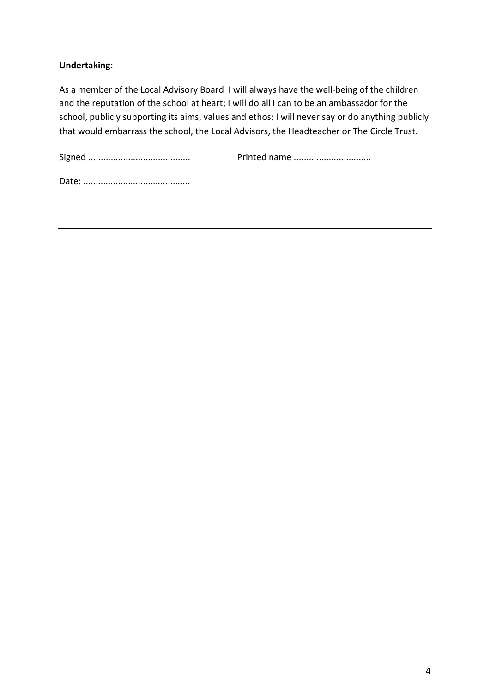# **Undertaking**:

As a member of the Local Advisory Board I will always have the well-being of the children and the reputation of the school at heart; I will do all I can to be an ambassador for the school, publicly supporting its aims, values and ethos; I will never say or do anything publicly that would embarrass the school, the Local Advisors, the Headteacher or The Circle Trust.

Signed ......................................... Printed name ...............................

Date: ...........................................